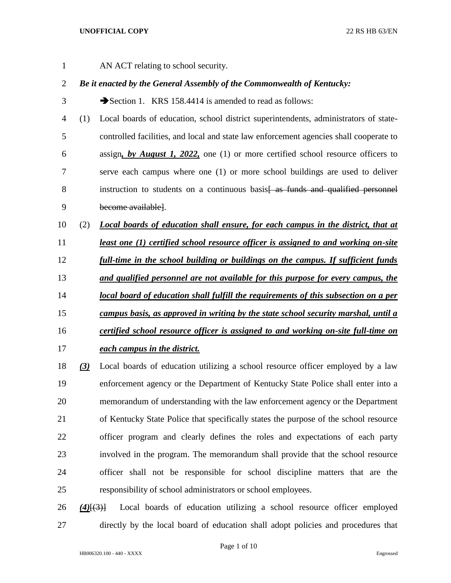AN ACT relating to school security.

## *Be it enacted by the General Assembly of the Commonwealth of Kentucky:*

3 Section 1. KRS 158.4414 is amended to read as follows:

- (1) Local boards of education, school district superintendents, administrators of state- controlled facilities, and local and state law enforcement agencies shall cooperate to assign*, by August 1, 2022,* one (1) or more certified school resource officers to serve each campus where one (1) or more school buildings are used to deliver 8 instruction to students on a continuous basis as funds and qualified personnel become available].
- (2) *Local boards of education shall ensure, for each campus in the district, that at*
- *least one (1) certified school resource officer is assigned to and working on-site full-time in the school building or buildings on the campus. If sufficient funds*
- *and qualified personnel are not available for this purpose for every campus, the*
- *local board of education shall fulfill the requirements of this subsection on a per*
- *campus basis, as approved in writing by the state school security marshal, until a*
- *certified school resource officer is assigned to and working on-site full-time on each campus in the district.*
- *(3)* Local boards of education utilizing a school resource officer employed by a law enforcement agency or the Department of Kentucky State Police shall enter into a memorandum of understanding with the law enforcement agency or the Department of Kentucky State Police that specifically states the purpose of the school resource officer program and clearly defines the roles and expectations of each party involved in the program. The memorandum shall provide that the school resource officer shall not be responsible for school discipline matters that are the responsibility of school administrators or school employees.

 *(4)*[(3)] Local boards of education utilizing a school resource officer employed directly by the local board of education shall adopt policies and procedures that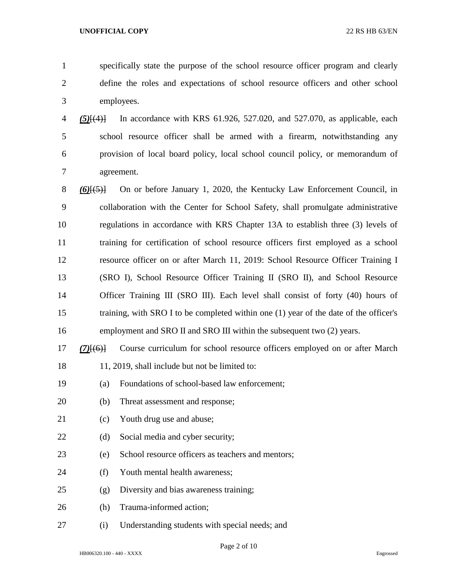specifically state the purpose of the school resource officer program and clearly define the roles and expectations of school resource officers and other school employees.

 *(5)*[(4)] In accordance with KRS 61.926, 527.020, and 527.070, as applicable, each school resource officer shall be armed with a firearm, notwithstanding any provision of local board policy, local school council policy, or memorandum of agreement.

 *(6)*[(5)] On or before January 1, 2020, the Kentucky Law Enforcement Council, in collaboration with the Center for School Safety, shall promulgate administrative regulations in accordance with KRS Chapter 13A to establish three (3) levels of training for certification of school resource officers first employed as a school resource officer on or after March 11, 2019: School Resource Officer Training I (SRO I), School Resource Officer Training II (SRO II), and School Resource 14 Officer Training III (SRO III). Each level shall consist of forty (40) hours of training, with SRO I to be completed within one (1) year of the date of the officer's employment and SRO II and SRO III within the subsequent two (2) years.

- *(7)*[(6)] Course curriculum for school resource officers employed on or after March 18 11, 2019, shall include but not be limited to:
- (a) Foundations of school-based law enforcement;
- (b) Threat assessment and response;
- (c) Youth drug use and abuse;
- 22 (d) Social media and cyber security;
- (e) School resource officers as teachers and mentors;
- (f) Youth mental health awareness;
- (g) Diversity and bias awareness training;
- (h) Trauma-informed action;
- (i) Understanding students with special needs; and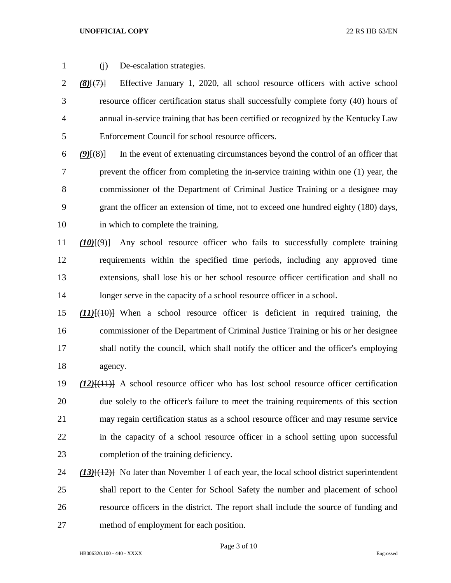(j) De-escalation strategies.

 *(8)*[(7)] Effective January 1, 2020, all school resource officers with active school resource officer certification status shall successfully complete forty (40) hours of annual in-service training that has been certified or recognized by the Kentucky Law Enforcement Council for school resource officers.

 *(9)*[(8)] In the event of extenuating circumstances beyond the control of an officer that prevent the officer from completing the in-service training within one (1) year, the commissioner of the Department of Criminal Justice Training or a designee may grant the officer an extension of time, not to exceed one hundred eighty (180) days, in which to complete the training.

 *(10)*[(9)] Any school resource officer who fails to successfully complete training requirements within the specified time periods, including any approved time extensions, shall lose his or her school resource officer certification and shall no 14 longer serve in the capacity of a school resource officer in a school.

 *(11)*[(10)] When a school resource officer is deficient in required training, the commissioner of the Department of Criminal Justice Training or his or her designee shall notify the council, which shall notify the officer and the officer's employing agency.

 *(12)*[(11)] A school resource officer who has lost school resource officer certification due solely to the officer's failure to meet the training requirements of this section may regain certification status as a school resource officer and may resume service in the capacity of a school resource officer in a school setting upon successful completion of the training deficiency.

 *(13)*[(12)] No later than November 1 of each year, the local school district superintendent shall report to the Center for School Safety the number and placement of school resource officers in the district. The report shall include the source of funding and method of employment for each position.

Page 3 of 10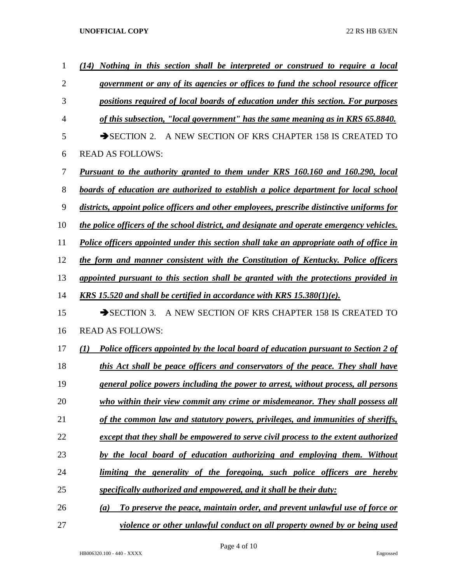| 1              | Nothing in this section shall be interpreted or construed to require a local               |
|----------------|--------------------------------------------------------------------------------------------|
| $\overline{2}$ | government or any of its agencies or offices to fund the school resource officer           |
| 3              | positions required of local boards of education under this section. For purposes           |
| $\overline{4}$ | of this subsection, "local government" has the same meaning as in KRS 65.8840.             |
| 5              | $\rightarrow$ SECTION 2.<br>A NEW SECTION OF KRS CHAPTER 158 IS CREATED TO                 |
| 6              | <b>READ AS FOLLOWS:</b>                                                                    |
| 7              | Pursuant to the authority granted to them under KRS 160.160 and 160.290, local             |
| 8              | boards of education are authorized to establish a police department for local school       |
| 9              | districts, appoint police officers and other employees, prescribe distinctive uniforms for |
| 10             | the police officers of the school district, and designate and operate emergency vehicles.  |
| 11             | Police officers appointed under this section shall take an appropriate oath of office in   |
| 12             | the form and manner consistent with the Constitution of Kentucky. Police officers          |
| 13             | appointed pursuant to this section shall be granted with the protections provided in       |
| 14             | <u>KRS 15.520 and shall be certified in accordance with KRS 15.380(1)(e).</u>              |
| 15             | $\rightarrow$ SECTION 3.<br>A NEW SECTION OF KRS CHAPTER 158 IS CREATED TO                 |
| 16             | <b>READ AS FOLLOWS:</b>                                                                    |
| 17             | Police officers appointed by the local board of education pursuant to Section 2 of<br>(I)  |
| 18             | this Act shall be peace officers and conservators of the peace. They shall have            |
| 19             | general police powers including the power to arrest, without process, all persons          |
| 20             | who within their view commit any crime or misdemeanor. They shall possess all              |
| 21             | of the common law and statutory powers, privileges, and immunities of sheriffs,            |
| 22             | except that they shall be empowered to serve civil process to the extent authorized        |
| 23             | by the local board of education authorizing and employing them. Without                    |
| 24             | limiting the generality of the foregoing, such police officers are hereby                  |
| 25             | specifically authorized and empowered, and it shall be their duty:                         |
| 26             | To preserve the peace, maintain order, and prevent unlawful use of force or<br>(a)         |
| 27             | violence or other unlawful conduct on all property owned by or being used                  |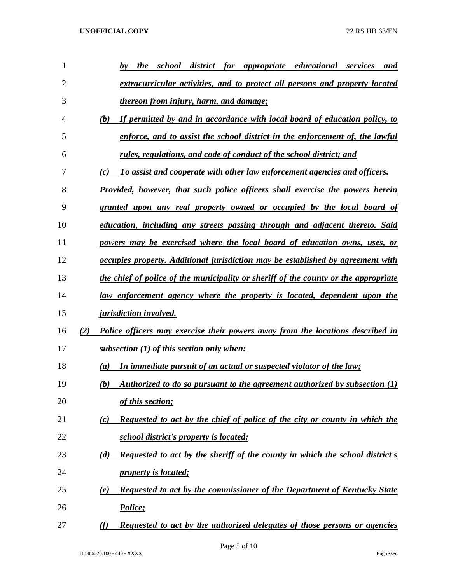| 1              |     | appropriate educational<br><i>the</i><br>school<br>district<br><i>for</i><br>by<br>services<br>and |
|----------------|-----|----------------------------------------------------------------------------------------------------|
| $\overline{2}$ |     | extracurricular activities, and to protect all persons and property located                        |
| 3              |     | <i>thereon from injury, harm, and damage;</i>                                                      |
| 4              |     | If permitted by and in accordance with local board of education policy, to<br>(b)                  |
| 5              |     | enforce, and to assist the school district in the enforcement of, the lawful                       |
| 6              |     | rules, regulations, and code of conduct of the school district; and                                |
| 7              |     | To assist and cooperate with other law enforcement agencies and officers.<br>(c)                   |
| 8              |     | Provided, however, that such police officers shall exercise the powers herein                      |
| 9              |     | granted upon any real property owned or occupied by the local board of                             |
| 10             |     | education, including any streets passing through and adjacent thereto. Said                        |
| 11             |     | powers may be exercised where the local board of education owns, uses, or                          |
| 12             |     | occupies property. Additional jurisdiction may be established by agreement with                    |
| 13             |     | the chief of police of the municipality or sheriff of the county or the appropriate                |
| 14             |     | law enforcement agency where the property is located, dependent upon the                           |
| 15             |     | <i>jurisdiction involved.</i>                                                                      |
| 16             | (2) | Police officers may exercise their powers away from the locations described in                     |
| 17             |     | subsection (1) of this section only when:                                                          |
| 18             |     | In immediate pursuit of an actual or suspected violator of the law;<br>(a)                         |
| 19             |     | <u>Authorized to do so pursuant to the agreement authorized by subsection (1)</u><br>(b)           |
| 20             |     | of this section;                                                                                   |
| 21             |     | Requested to act by the chief of police of the city or county in which the<br>(c)                  |
| 22             |     | school district's property is located;                                                             |
| 23             |     | Requested to act by the sheriff of the county in which the school district's<br>(d)                |
| 24             |     | <i>property is located;</i>                                                                        |
| 25             |     | <b>Requested to act by the commissioner of the Department of Kentucky State</b><br>(e)             |
| 26             |     | Police;                                                                                            |
| 27             |     | (f)<br>Requested to act by the authorized delegates of those persons or agencies                   |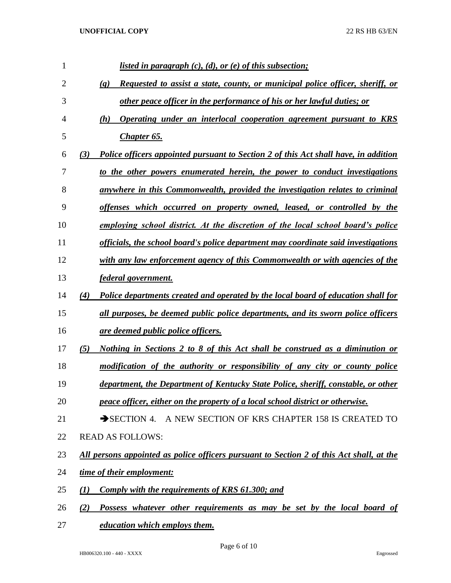| $\mathbf{1}$   | <u>listed in paragraph <math>(c)</math>, <math>(d)</math>, or <math>(e)</math> of this subsection;</u>       |
|----------------|--------------------------------------------------------------------------------------------------------------|
| $\overline{c}$ | Requested to assist a state, county, or municipal police officer, sheriff, or<br>$\left( \mathbf{g} \right)$ |
| 3              | other peace officer in the performance of his or her lawful duties; or                                       |
| 4              | Operating under an interlocal cooperation agreement pursuant to KRS<br>(h)                                   |
| 5              | <b>Chapter 65.</b>                                                                                           |
| 6              | Police officers appointed pursuant to Section 2 of this Act shall have, in addition<br>(3)                   |
| 7              | to the other powers enumerated herein, the power to conduct investigations                                   |
| 8              | anywhere in this Commonwealth, provided the investigation relates to criminal                                |
| 9              | offenses which occurred on property owned, leased, or controlled by the                                      |
| 10             | employing school district. At the discretion of the local school board's police                              |
| 11             | officials, the school board's police department may coordinate said investigations                           |
| 12             | with any law enforcement agency of this Commonwealth or with agencies of the                                 |
| 13             | <u>federal government.</u>                                                                                   |
| 14             | (4)<br>Police departments created and operated by the local board of education shall for                     |
| 15             | all purposes, be deemed public police departments, and its sworn police officers                             |
| 16             | are deemed public police officers.                                                                           |
| 17             | <u>Nothing in Sections 2 to 8 of this Act shall be construed as a diminution or</u><br>(5)                   |
| 18             | modification of the authority or responsibility of any city or county police                                 |
| 19             | department, the Department of Kentucky State Police, sheriff, constable, or other                            |
| 20             | peace officer, either on the property of a local school district or otherwise.                               |
| 21             | SECTION 4. A NEW SECTION OF KRS CHAPTER 158 IS CREATED TO                                                    |
| 22             | <b>READ AS FOLLOWS:</b>                                                                                      |
| 23             | <u>All persons appointed as police officers pursuant to Section 2 of this Act shall, at the</u>              |
| 24             | time of their employment:                                                                                    |
| 25             | <b>Comply with the requirements of KRS 61.300; and</b><br>(I)                                                |
| 26             | Possess whatever other requirements as may be set by the local board of<br>(2)                               |

*education which employs them.*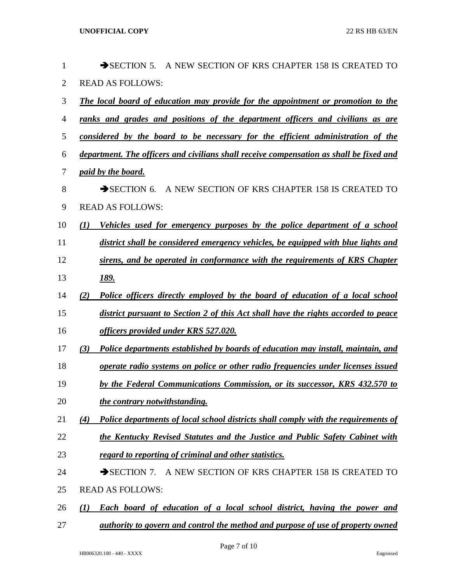| $\mathbf{1}$   | SECTION 5. A NEW SECTION OF KRS CHAPTER 158 IS CREATED TO                                 |
|----------------|-------------------------------------------------------------------------------------------|
| $\overline{2}$ | <b>READ AS FOLLOWS:</b>                                                                   |
| 3              | The local board of education may provide for the appointment or promotion to the          |
| $\overline{4}$ | ranks and grades and positions of the department officers and civilians as are            |
| 5              | considered by the board to be necessary for the efficient administration of the           |
| 6              | department. The officers and civilians shall receive compensation as shall be fixed and   |
| $\tau$         | <i>paid by the board.</i>                                                                 |
| $8\,$          | SECTION 6. A NEW SECTION OF KRS CHAPTER 158 IS CREATED TO                                 |
| 9              | <b>READ AS FOLLOWS:</b>                                                                   |
| 10             | Vehicles used for emergency purposes by the police department of a school<br>(I)          |
| 11             | district shall be considered emergency vehicles, be equipped with blue lights and         |
| 12             | sirens, and be operated in conformance with the requirements of KRS Chapter               |
| 13             | <u>189.</u>                                                                               |
| 14             | Police officers directly employed by the board of education of a local school<br>(2)      |
| 15             | district pursuant to Section 2 of this Act shall have the rights accorded to peace        |
| 16             | officers provided under KRS 527.020.                                                      |
| 17             | Police departments established by boards of education may install, maintain, and<br>(3)   |
| 18             | operate radio systems on police or other radio frequencies under licenses issued          |
| 19             | by the Federal Communications Commission, or its successor, KRS 432.570 to                |
| 20             | the contrary notwithstanding.                                                             |
| 21             | Police departments of local school districts shall comply with the requirements of<br>(4) |
| 22             | the Kentucky Revised Statutes and the Justice and Public Safety Cabinet with              |
| 23             | regard to reporting of criminal and other statistics.                                     |
| 24             | SECTION 7. A NEW SECTION OF KRS CHAPTER 158 IS CREATED TO                                 |
| 25             | <b>READ AS FOLLOWS:</b>                                                                   |
| 26             | Each board of education of a local school district, having the power and<br>(I)           |
| 27             | <i>authority to govern and control the method and purpose of use of property owned</i>    |

Page 7 of 10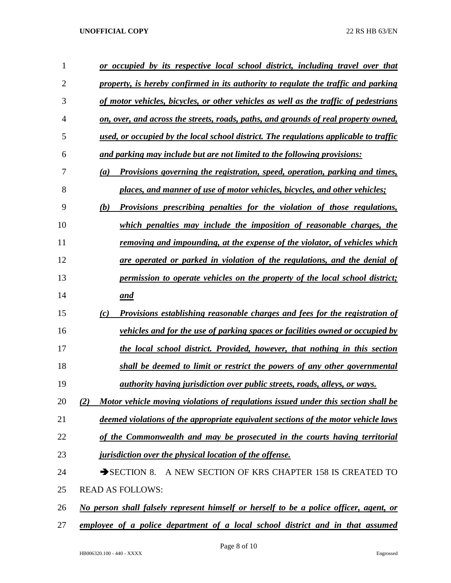| 1  | or occupied by its respective local school district, including travel over that                 |
|----|-------------------------------------------------------------------------------------------------|
| 2  | property, is hereby confirmed in its authority to regulate the traffic and parking              |
| 3  | of motor vehicles, bicycles, or other vehicles as well as the traffic of pedestrians            |
| 4  | on, over, and across the streets, roads, paths, and grounds of real property owned,             |
| 5  | used, or occupied by the local school district. The regulations applicable to traffic           |
| 6  | and parking may include but are not limited to the following provisions:                        |
| 7  | Provisions governing the registration, speed, operation, parking and times,<br>$\left(a\right)$ |
| 8  | places, and manner of use of motor vehicles, bicycles, and other vehicles;                      |
| 9  | Provisions prescribing penalties for the violation of those regulations,<br>(b)                 |
| 10 | which penalties may include the imposition of reasonable charges, the                           |
| 11 | removing and impounding, at the expense of the violator, of vehicles which                      |
| 12 | are operated or parked in violation of the regulations, and the denial of                       |
| 13 | permission to operate vehicles on the property of the local school district;                    |
| 14 | and                                                                                             |
| 15 | Provisions establishing reasonable charges and fees for the registration of<br>(c)              |
| 16 | vehicles and for the use of parking spaces or facilities owned or occupied by                   |
| 17 | the local school district. Provided, however, that nothing in this section                      |
| 18 | shall be deemed to limit or restrict the powers of any other governmental                       |
| 19 | <i>authority having jurisdiction over public streets, roads, alleys, or ways.</i>               |
| 20 | Motor vehicle moving violations of regulations issued under this section shall be<br>(2)        |
| 21 | deemed violations of the appropriate equivalent sections of the motor vehicle laws              |
| 22 | of the Commonwealth and may be prosecuted in the courts having territorial                      |
| 23 | jurisdiction over the physical location of the offense.                                         |
| 24 | A NEW SECTION OF KRS CHAPTER 158 IS CREATED TO<br>$\rightarrow$ SECTION 8.                      |
| 25 | <b>READ AS FOLLOWS:</b>                                                                         |
| 26 | No person shall falsely represent himself or herself to be a police officer, agent, or          |
| 27 | employee of a police department of a local school district and in that assumed                  |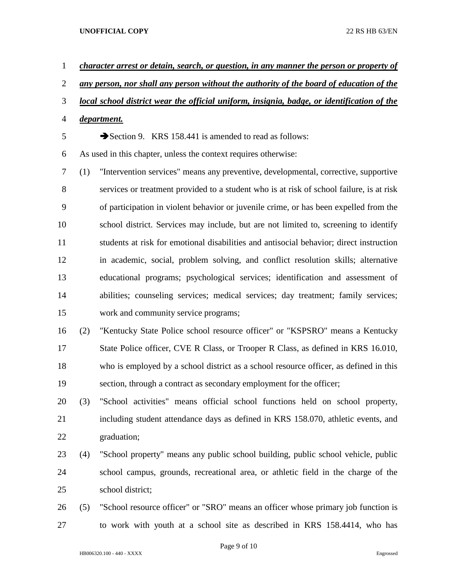| $\mathbf{1}$   |                                                                                            | character arrest or detain, search, or question, in any manner the person or property of |  |  |
|----------------|--------------------------------------------------------------------------------------------|------------------------------------------------------------------------------------------|--|--|
| $\overline{2}$ | any person, nor shall any person without the authority of the board of education of the    |                                                                                          |  |  |
| 3              | local school district wear the official uniform, insignia, badge, or identification of the |                                                                                          |  |  |
| $\overline{4}$ | department.                                                                                |                                                                                          |  |  |
| 5              |                                                                                            | Section 9. KRS 158.441 is amended to read as follows:                                    |  |  |
| 6              |                                                                                            | As used in this chapter, unless the context requires otherwise:                          |  |  |
| 7              | (1)                                                                                        | "Intervention services" means any preventive, developmental, corrective, supportive      |  |  |
| 8              |                                                                                            | services or treatment provided to a student who is at risk of school failure, is at risk |  |  |
| 9              |                                                                                            | of participation in violent behavior or juvenile crime, or has been expelled from the    |  |  |
| 10             |                                                                                            | school district. Services may include, but are not limited to, screening to identify     |  |  |
| 11             |                                                                                            | students at risk for emotional disabilities and antisocial behavior; direct instruction  |  |  |
| 12             |                                                                                            | in academic, social, problem solving, and conflict resolution skills; alternative        |  |  |
| 13             |                                                                                            | educational programs; psychological services; identification and assessment of           |  |  |
| 14             |                                                                                            | abilities; counseling services; medical services; day treatment; family services;        |  |  |
| 15             |                                                                                            | work and community service programs;                                                     |  |  |
| 16             | (2)                                                                                        | "Kentucky State Police school resource officer" or "KSPSRO" means a Kentucky             |  |  |
| 17             |                                                                                            | State Police officer, CVE R Class, or Trooper R Class, as defined in KRS 16.010,         |  |  |
| 18             |                                                                                            | who is employed by a school district as a school resource officer, as defined in this    |  |  |
| 19             |                                                                                            | section, through a contract as secondary employment for the officer;                     |  |  |
| 20             | (3)                                                                                        | "School activities" means official school functions held on school property,             |  |  |
| 21             |                                                                                            | including student attendance days as defined in KRS 158.070, athletic events, and        |  |  |
| 22             |                                                                                            | graduation;                                                                              |  |  |
| 23             | (4)                                                                                        | "School property" means any public school building, public school vehicle, public        |  |  |
| 24             |                                                                                            | school campus, grounds, recreational area, or athletic field in the charge of the        |  |  |
| 25             |                                                                                            | school district;                                                                         |  |  |

 (5) "School resource officer" or "SRO" means an officer whose primary job function is to work with youth at a school site as described in KRS 158.4414, who has